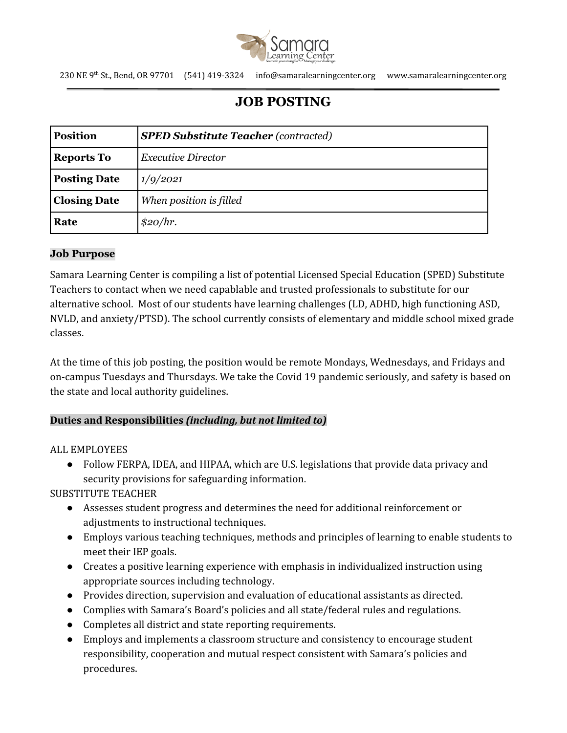

230 NE 9th St., Bend, OR 97701 (541) 419-3324 info@samaralearningcenter.org www.samaralearningcenter.org

# **JOB POSTING**

| <b>Position</b>     | <b>SPED Substitute Teacher (contracted)</b> |
|---------------------|---------------------------------------------|
| <b>Reports To</b>   | <b>Executive Director</b>                   |
| <b>Posting Date</b> | 1/9/2021                                    |
| <b>Closing Date</b> | When position is filled                     |
| Rate                | \$20/hr.                                    |

#### **Job Purpose**

Samara Learning Center is compiling a list of potential Licensed Special Education (SPED) Substitute Teachers to contact when we need capablable and trusted professionals to substitute for our alternative school. Most of our students have learning challenges (LD, ADHD, high functioning ASD, NVLD, and anxiety/PTSD). The school currently consists of elementary and middle school mixed grade classes.

At the time of this job posting, the position would be remote Mondays, Wednesdays, and Fridays and on-campus Tuesdays and Thursdays. We take the Covid 19 pandemic seriously, and safety is based on the state and local authority guidelines.

#### **Duties and Responsibilities** *(including, but not limited to)*

ALL EMPLOYEES

● Follow FERPA, IDEA, and HIPAA, which are U.S. legislations that provide data privacy and security provisions for safeguarding information.

SUBSTITUTE TEACHER

- Assesses student progress and determines the need for additional reinforcement or adjustments to instructional techniques.
- Employs various teaching techniques, methods and principles of learning to enable students to meet their IEP goals.
- Creates a positive learning experience with emphasis in individualized instruction using appropriate sources including technology.
- Provides direction, supervision and evaluation of educational assistants as directed.
- Complies with Samara's Board's policies and all state/federal rules and regulations.
- Completes all district and state reporting requirements.
- Employs and implements a classroom structure and consistency to encourage student responsibility, cooperation and mutual respect consistent with Samara's policies and procedures.